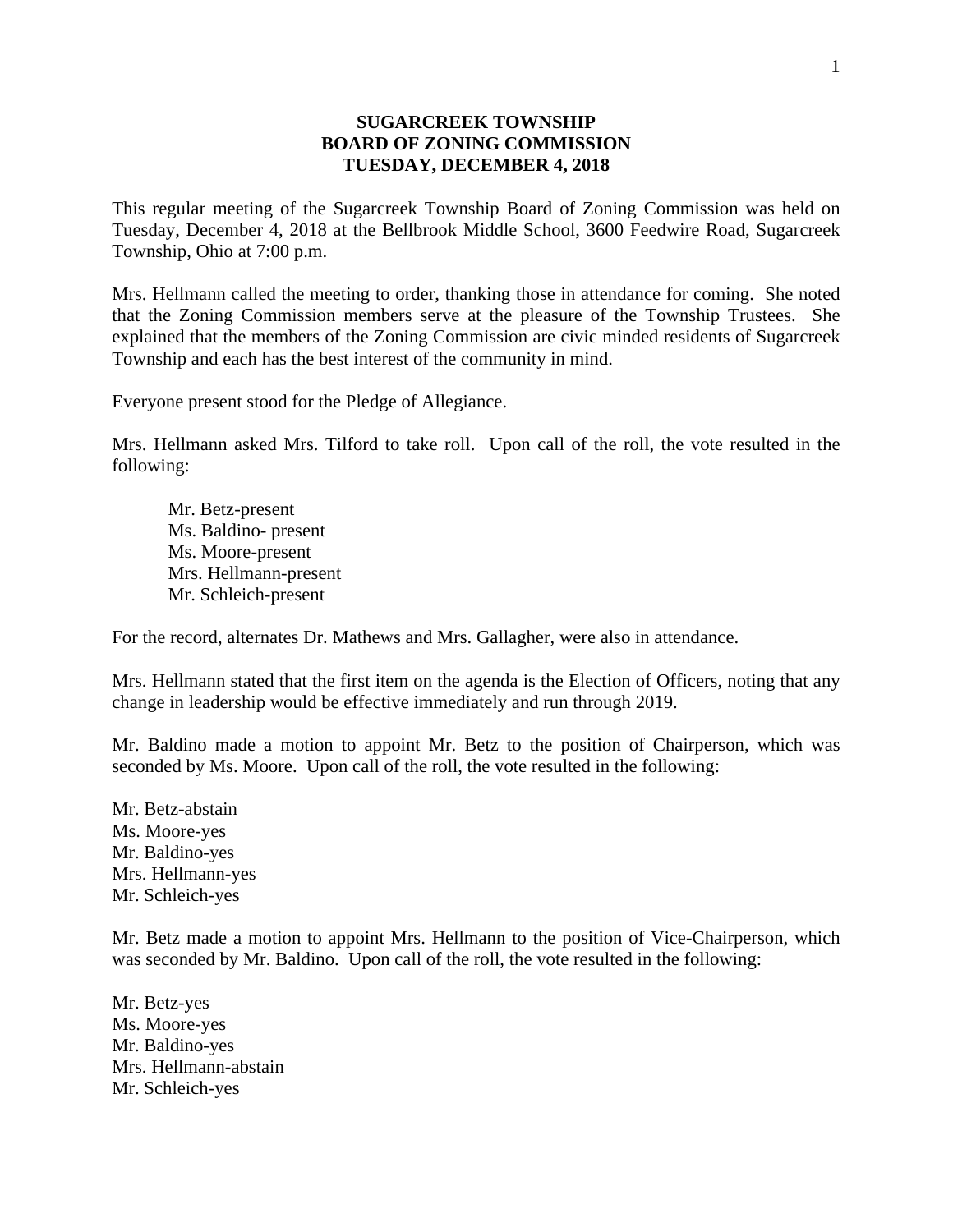## **SUGARCREEK TOWNSHIP BOARD OF ZONING COMMISSION TUESDAY, DECEMBER 4, 2018**

This regular meeting of the Sugarcreek Township Board of Zoning Commission was held on Tuesday, December 4, 2018 at the Bellbrook Middle School, 3600 Feedwire Road, Sugarcreek Township, Ohio at 7:00 p.m.

Mrs. Hellmann called the meeting to order, thanking those in attendance for coming. She noted that the Zoning Commission members serve at the pleasure of the Township Trustees. She explained that the members of the Zoning Commission are civic minded residents of Sugarcreek Township and each has the best interest of the community in mind.

Everyone present stood for the Pledge of Allegiance.

Mrs. Hellmann asked Mrs. Tilford to take roll. Upon call of the roll, the vote resulted in the following:

Mr. Betz-present Ms. Baldino- present Ms. Moore-present Mrs. Hellmann-present Mr. Schleich-present

For the record, alternates Dr. Mathews and Mrs. Gallagher, were also in attendance.

Mrs. Hellmann stated that the first item on the agenda is the Election of Officers, noting that any change in leadership would be effective immediately and run through 2019.

Mr. Baldino made a motion to appoint Mr. Betz to the position of Chairperson, which was seconded by Ms. Moore. Upon call of the roll, the vote resulted in the following:

Mr. Betz-abstain Ms. Moore-yes Mr. Baldino-yes Mrs. Hellmann-yes Mr. Schleich-yes

Mr. Betz made a motion to appoint Mrs. Hellmann to the position of Vice-Chairperson, which was seconded by Mr. Baldino. Upon call of the roll, the vote resulted in the following:

Mr. Betz-yes Ms. Moore-yes Mr. Baldino-yes Mrs. Hellmann-abstain Mr. Schleich-yes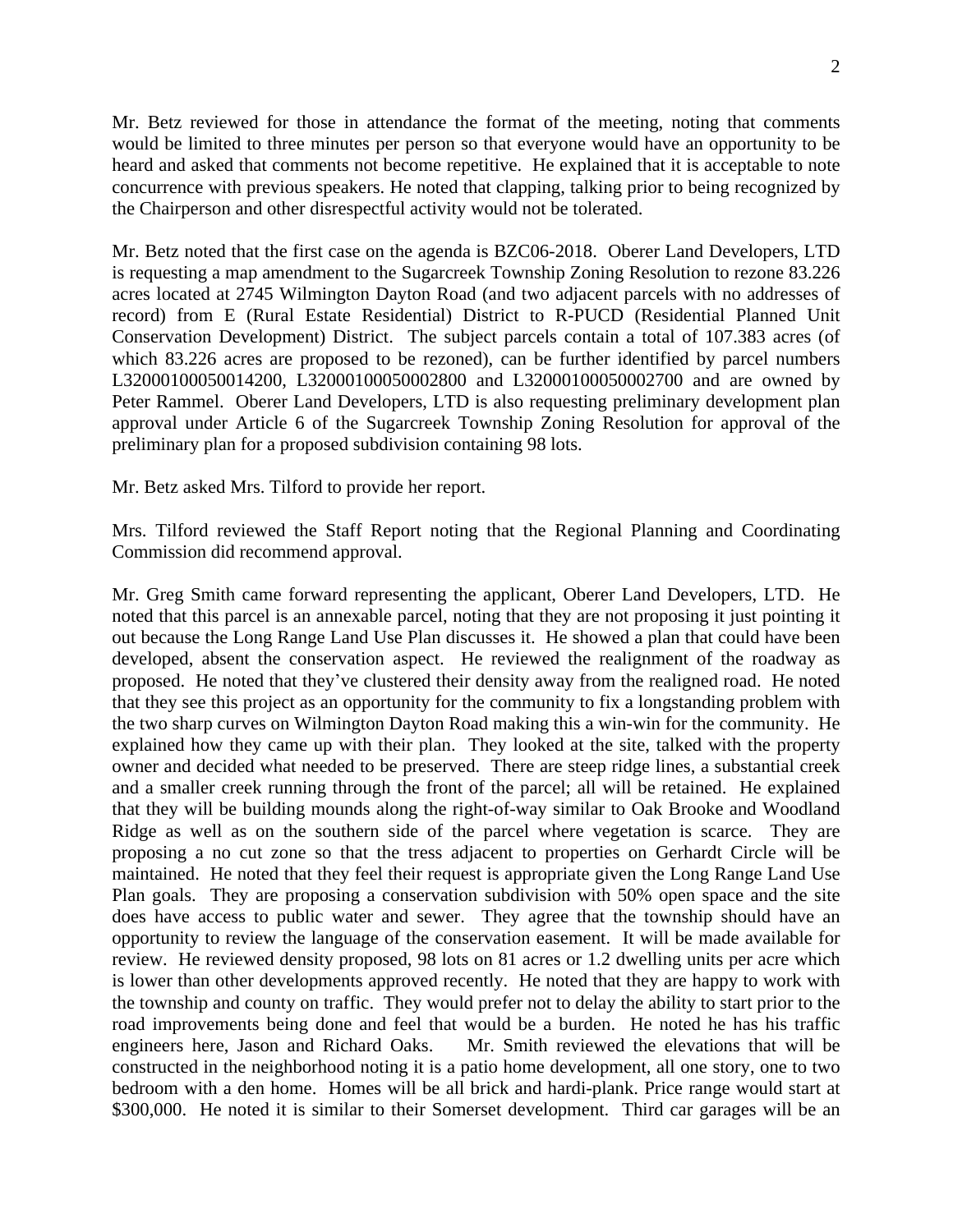Mr. Betz reviewed for those in attendance the format of the meeting, noting that comments would be limited to three minutes per person so that everyone would have an opportunity to be heard and asked that comments not become repetitive. He explained that it is acceptable to note concurrence with previous speakers. He noted that clapping, talking prior to being recognized by the Chairperson and other disrespectful activity would not be tolerated.

Mr. Betz noted that the first case on the agenda is BZC06-2018. Oberer Land Developers, LTD is requesting a map amendment to the Sugarcreek Township Zoning Resolution to rezone 83.226 acres located at 2745 Wilmington Dayton Road (and two adjacent parcels with no addresses of record) from E (Rural Estate Residential) District to R-PUCD (Residential Planned Unit Conservation Development) District. The subject parcels contain a total of 107.383 acres (of which 83.226 acres are proposed to be rezoned), can be further identified by parcel numbers [L32000100050014200](http://apps.co.greene.oh.us/auditor/ureca/data.aspx?parcelid=L32000100050014200&taxyear=2017&taxformyear=2017&search=ParcelID&searchp=L32000100050014200), [L32000100050002800](http://apps.co.greene.oh.us/auditor/ureca/data.aspx?parcelid=L32000100050002800&taxyear=2017&taxformyear=2017&search=ParcelID&searchp=L32000100050002800) and [L32000100050002700](http://apps.co.greene.oh.us/auditor/ureca/data.aspx?parcelid=L32000100050002700&taxyear=2017&taxformyear=2017&search=ParcelID&searchp=L32000100050002700) and are owned by Peter Rammel. Oberer Land Developers, LTD is also requesting preliminary development plan approval under Article 6 of the Sugarcreek Township Zoning Resolution for approval of the preliminary plan for a proposed subdivision containing 98 lots.

Mr. Betz asked Mrs. Tilford to provide her report.

Mrs. Tilford reviewed the Staff Report noting that the Regional Planning and Coordinating Commission did recommend approval.

Mr. Greg Smith came forward representing the applicant, Oberer Land Developers, LTD. He noted that this parcel is an annexable parcel, noting that they are not proposing it just pointing it out because the Long Range Land Use Plan discusses it. He showed a plan that could have been developed, absent the conservation aspect. He reviewed the realignment of the roadway as proposed. He noted that they've clustered their density away from the realigned road. He noted that they see this project as an opportunity for the community to fix a longstanding problem with the two sharp curves on Wilmington Dayton Road making this a win-win for the community. He explained how they came up with their plan. They looked at the site, talked with the property owner and decided what needed to be preserved. There are steep ridge lines, a substantial creek and a smaller creek running through the front of the parcel; all will be retained. He explained that they will be building mounds along the right-of-way similar to Oak Brooke and Woodland Ridge as well as on the southern side of the parcel where vegetation is scarce. They are proposing a no cut zone so that the tress adjacent to properties on Gerhardt Circle will be maintained. He noted that they feel their request is appropriate given the Long Range Land Use Plan goals. They are proposing a conservation subdivision with 50% open space and the site does have access to public water and sewer. They agree that the township should have an opportunity to review the language of the conservation easement. It will be made available for review. He reviewed density proposed, 98 lots on 81 acres or 1.2 dwelling units per acre which is lower than other developments approved recently. He noted that they are happy to work with the township and county on traffic. They would prefer not to delay the ability to start prior to the road improvements being done and feel that would be a burden. He noted he has his traffic engineers here, Jason and Richard Oaks. Mr. Smith reviewed the elevations that will be constructed in the neighborhood noting it is a patio home development, all one story, one to two bedroom with a den home. Homes will be all brick and hardi-plank. Price range would start at \$300,000. He noted it is similar to their Somerset development. Third car garages will be an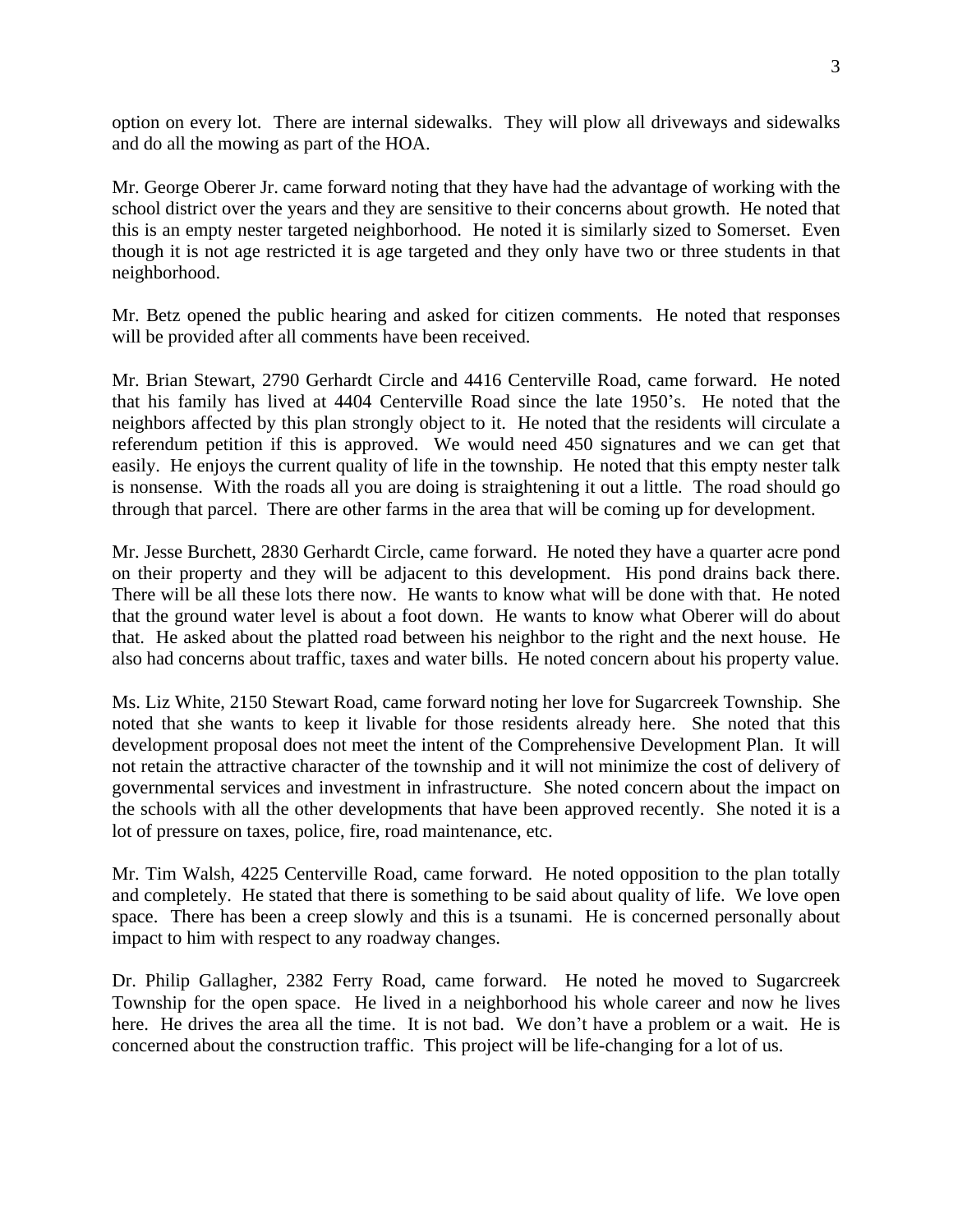option on every lot. There are internal sidewalks. They will plow all driveways and sidewalks and do all the mowing as part of the HOA.

Mr. George Oberer Jr. came forward noting that they have had the advantage of working with the school district over the years and they are sensitive to their concerns about growth. He noted that this is an empty nester targeted neighborhood. He noted it is similarly sized to Somerset. Even though it is not age restricted it is age targeted and they only have two or three students in that neighborhood.

Mr. Betz opened the public hearing and asked for citizen comments. He noted that responses will be provided after all comments have been received.

Mr. Brian Stewart, 2790 Gerhardt Circle and 4416 Centerville Road, came forward. He noted that his family has lived at 4404 Centerville Road since the late 1950's. He noted that the neighbors affected by this plan strongly object to it. He noted that the residents will circulate a referendum petition if this is approved. We would need 450 signatures and we can get that easily. He enjoys the current quality of life in the township. He noted that this empty nester talk is nonsense. With the roads all you are doing is straightening it out a little. The road should go through that parcel. There are other farms in the area that will be coming up for development.

Mr. Jesse Burchett, 2830 Gerhardt Circle, came forward. He noted they have a quarter acre pond on their property and they will be adjacent to this development. His pond drains back there. There will be all these lots there now. He wants to know what will be done with that. He noted that the ground water level is about a foot down. He wants to know what Oberer will do about that. He asked about the platted road between his neighbor to the right and the next house. He also had concerns about traffic, taxes and water bills. He noted concern about his property value.

Ms. Liz White, 2150 Stewart Road, came forward noting her love for Sugarcreek Township. She noted that she wants to keep it livable for those residents already here. She noted that this development proposal does not meet the intent of the Comprehensive Development Plan. It will not retain the attractive character of the township and it will not minimize the cost of delivery of governmental services and investment in infrastructure. She noted concern about the impact on the schools with all the other developments that have been approved recently. She noted it is a lot of pressure on taxes, police, fire, road maintenance, etc.

Mr. Tim Walsh, 4225 Centerville Road, came forward. He noted opposition to the plan totally and completely. He stated that there is something to be said about quality of life. We love open space. There has been a creep slowly and this is a tsunami. He is concerned personally about impact to him with respect to any roadway changes.

Dr. Philip Gallagher, 2382 Ferry Road, came forward. He noted he moved to Sugarcreek Township for the open space. He lived in a neighborhood his whole career and now he lives here. He drives the area all the time. It is not bad. We don't have a problem or a wait. He is concerned about the construction traffic. This project will be life-changing for a lot of us.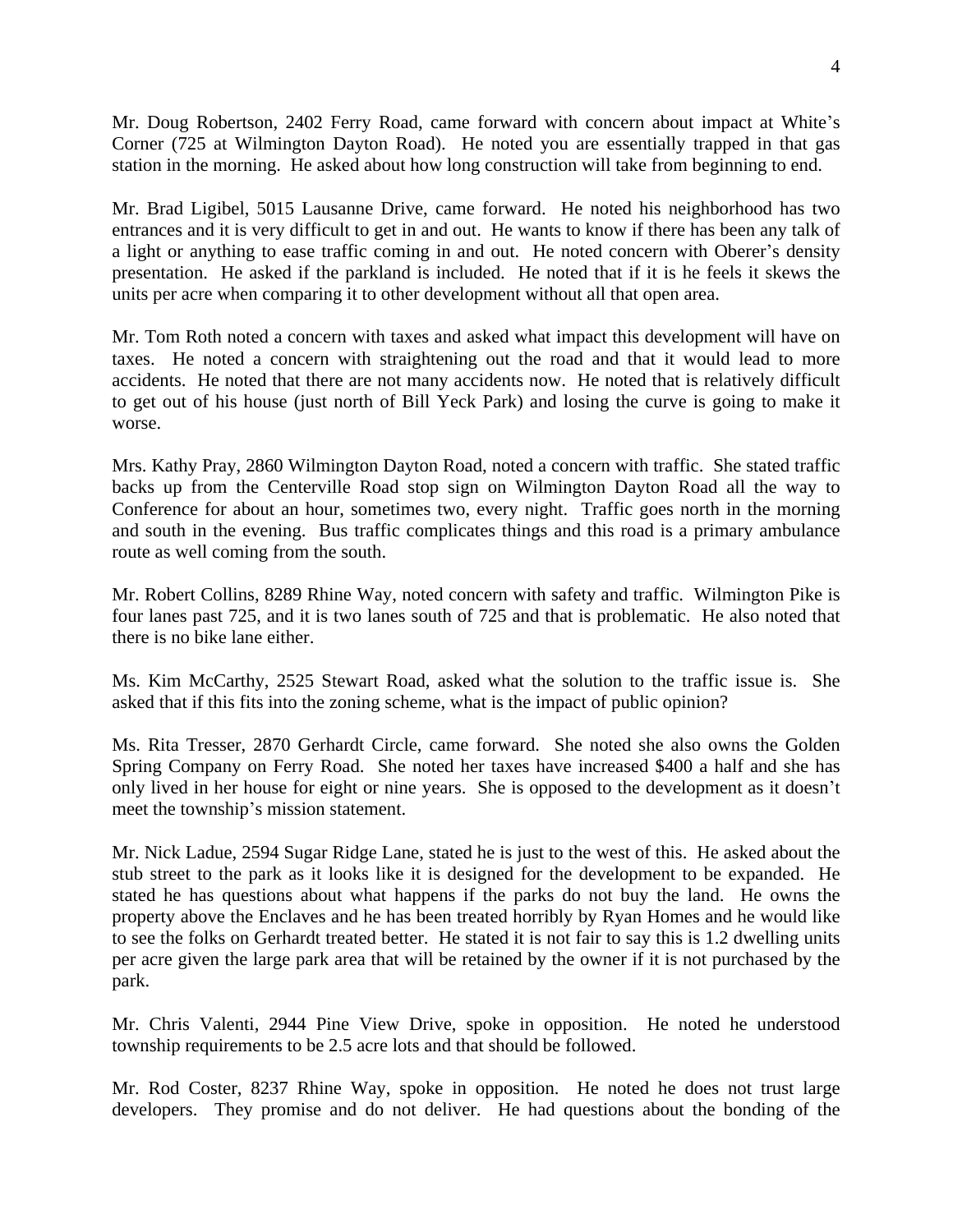Mr. Doug Robertson, 2402 Ferry Road, came forward with concern about impact at White's Corner (725 at Wilmington Dayton Road). He noted you are essentially trapped in that gas station in the morning. He asked about how long construction will take from beginning to end.

Mr. Brad Ligibel, 5015 Lausanne Drive, came forward. He noted his neighborhood has two entrances and it is very difficult to get in and out. He wants to know if there has been any talk of a light or anything to ease traffic coming in and out. He noted concern with Oberer's density presentation. He asked if the parkland is included. He noted that if it is he feels it skews the units per acre when comparing it to other development without all that open area.

Mr. Tom Roth noted a concern with taxes and asked what impact this development will have on taxes. He noted a concern with straightening out the road and that it would lead to more accidents. He noted that there are not many accidents now. He noted that is relatively difficult to get out of his house (just north of Bill Yeck Park) and losing the curve is going to make it worse.

Mrs. Kathy Pray, 2860 Wilmington Dayton Road, noted a concern with traffic. She stated traffic backs up from the Centerville Road stop sign on Wilmington Dayton Road all the way to Conference for about an hour, sometimes two, every night. Traffic goes north in the morning and south in the evening. Bus traffic complicates things and this road is a primary ambulance route as well coming from the south.

Mr. Robert Collins, 8289 Rhine Way, noted concern with safety and traffic. Wilmington Pike is four lanes past 725, and it is two lanes south of 725 and that is problematic. He also noted that there is no bike lane either.

Ms. Kim McCarthy, 2525 Stewart Road, asked what the solution to the traffic issue is. She asked that if this fits into the zoning scheme, what is the impact of public opinion?

Ms. Rita Tresser, 2870 Gerhardt Circle, came forward. She noted she also owns the Golden Spring Company on Ferry Road. She noted her taxes have increased \$400 a half and she has only lived in her house for eight or nine years. She is opposed to the development as it doesn't meet the township's mission statement.

Mr. Nick Ladue, 2594 Sugar Ridge Lane, stated he is just to the west of this. He asked about the stub street to the park as it looks like it is designed for the development to be expanded. He stated he has questions about what happens if the parks do not buy the land. He owns the property above the Enclaves and he has been treated horribly by Ryan Homes and he would like to see the folks on Gerhardt treated better. He stated it is not fair to say this is 1.2 dwelling units per acre given the large park area that will be retained by the owner if it is not purchased by the park.

Mr. Chris Valenti, 2944 Pine View Drive, spoke in opposition. He noted he understood township requirements to be 2.5 acre lots and that should be followed.

Mr. Rod Coster, 8237 Rhine Way, spoke in opposition. He noted he does not trust large developers. They promise and do not deliver. He had questions about the bonding of the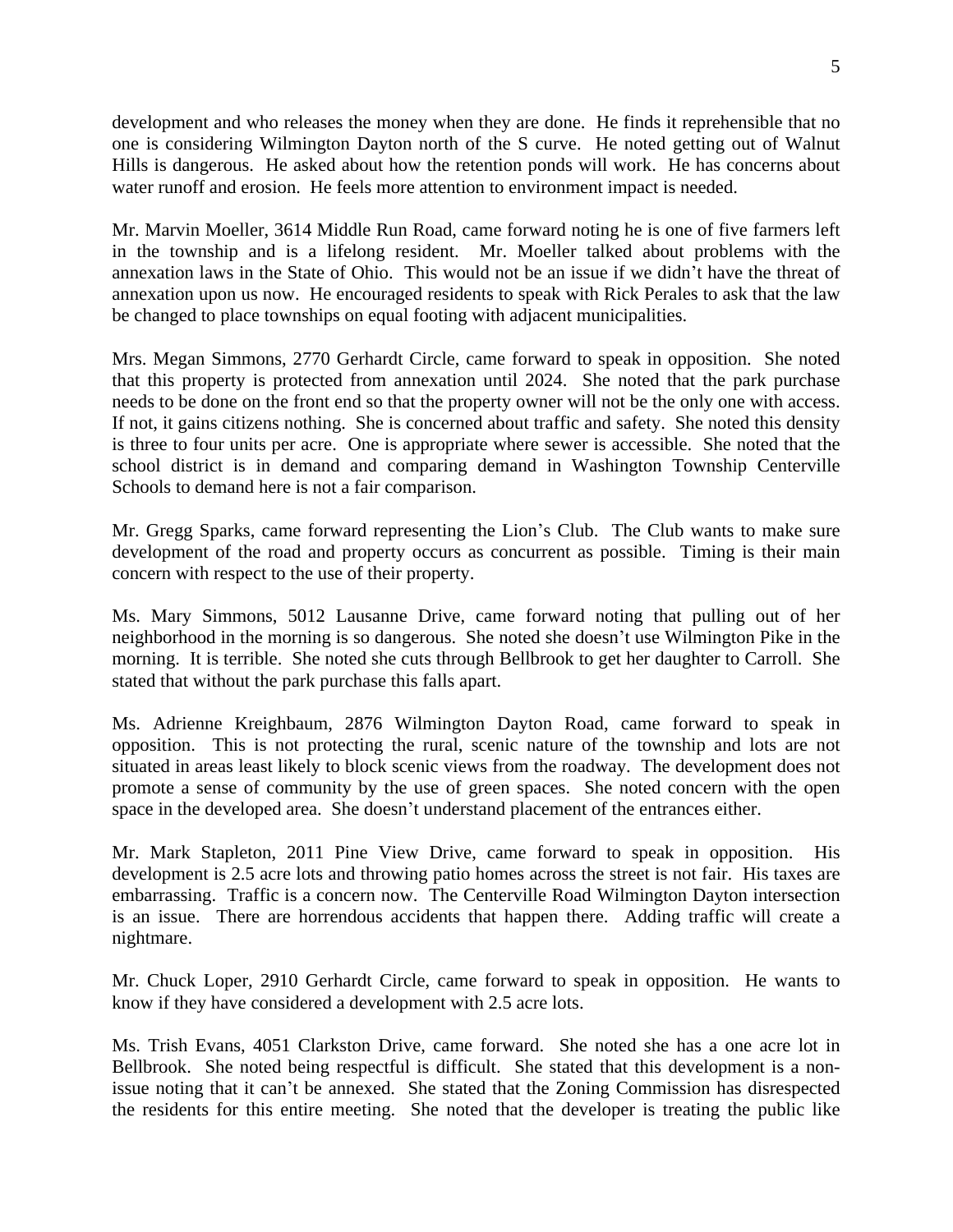development and who releases the money when they are done. He finds it reprehensible that no one is considering Wilmington Dayton north of the S curve. He noted getting out of Walnut Hills is dangerous. He asked about how the retention ponds will work. He has concerns about water runoff and erosion. He feels more attention to environment impact is needed.

Mr. Marvin Moeller, 3614 Middle Run Road, came forward noting he is one of five farmers left in the township and is a lifelong resident. Mr. Moeller talked about problems with the annexation laws in the State of Ohio. This would not be an issue if we didn't have the threat of annexation upon us now. He encouraged residents to speak with Rick Perales to ask that the law be changed to place townships on equal footing with adjacent municipalities.

Mrs. Megan Simmons, 2770 Gerhardt Circle, came forward to speak in opposition. She noted that this property is protected from annexation until 2024. She noted that the park purchase needs to be done on the front end so that the property owner will not be the only one with access. If not, it gains citizens nothing. She is concerned about traffic and safety. She noted this density is three to four units per acre. One is appropriate where sewer is accessible. She noted that the school district is in demand and comparing demand in Washington Township Centerville Schools to demand here is not a fair comparison.

Mr. Gregg Sparks, came forward representing the Lion's Club. The Club wants to make sure development of the road and property occurs as concurrent as possible. Timing is their main concern with respect to the use of their property.

Ms. Mary Simmons, 5012 Lausanne Drive, came forward noting that pulling out of her neighborhood in the morning is so dangerous. She noted she doesn't use Wilmington Pike in the morning. It is terrible. She noted she cuts through Bellbrook to get her daughter to Carroll. She stated that without the park purchase this falls apart.

Ms. Adrienne Kreighbaum, 2876 Wilmington Dayton Road, came forward to speak in opposition. This is not protecting the rural, scenic nature of the township and lots are not situated in areas least likely to block scenic views from the roadway. The development does not promote a sense of community by the use of green spaces. She noted concern with the open space in the developed area. She doesn't understand placement of the entrances either.

Mr. Mark Stapleton, 2011 Pine View Drive, came forward to speak in opposition. His development is 2.5 acre lots and throwing patio homes across the street is not fair. His taxes are embarrassing. Traffic is a concern now. The Centerville Road Wilmington Dayton intersection is an issue. There are horrendous accidents that happen there. Adding traffic will create a nightmare.

Mr. Chuck Loper, 2910 Gerhardt Circle, came forward to speak in opposition. He wants to know if they have considered a development with 2.5 acre lots.

Ms. Trish Evans, 4051 Clarkston Drive, came forward. She noted she has a one acre lot in Bellbrook. She noted being respectful is difficult. She stated that this development is a nonissue noting that it can't be annexed. She stated that the Zoning Commission has disrespected the residents for this entire meeting. She noted that the developer is treating the public like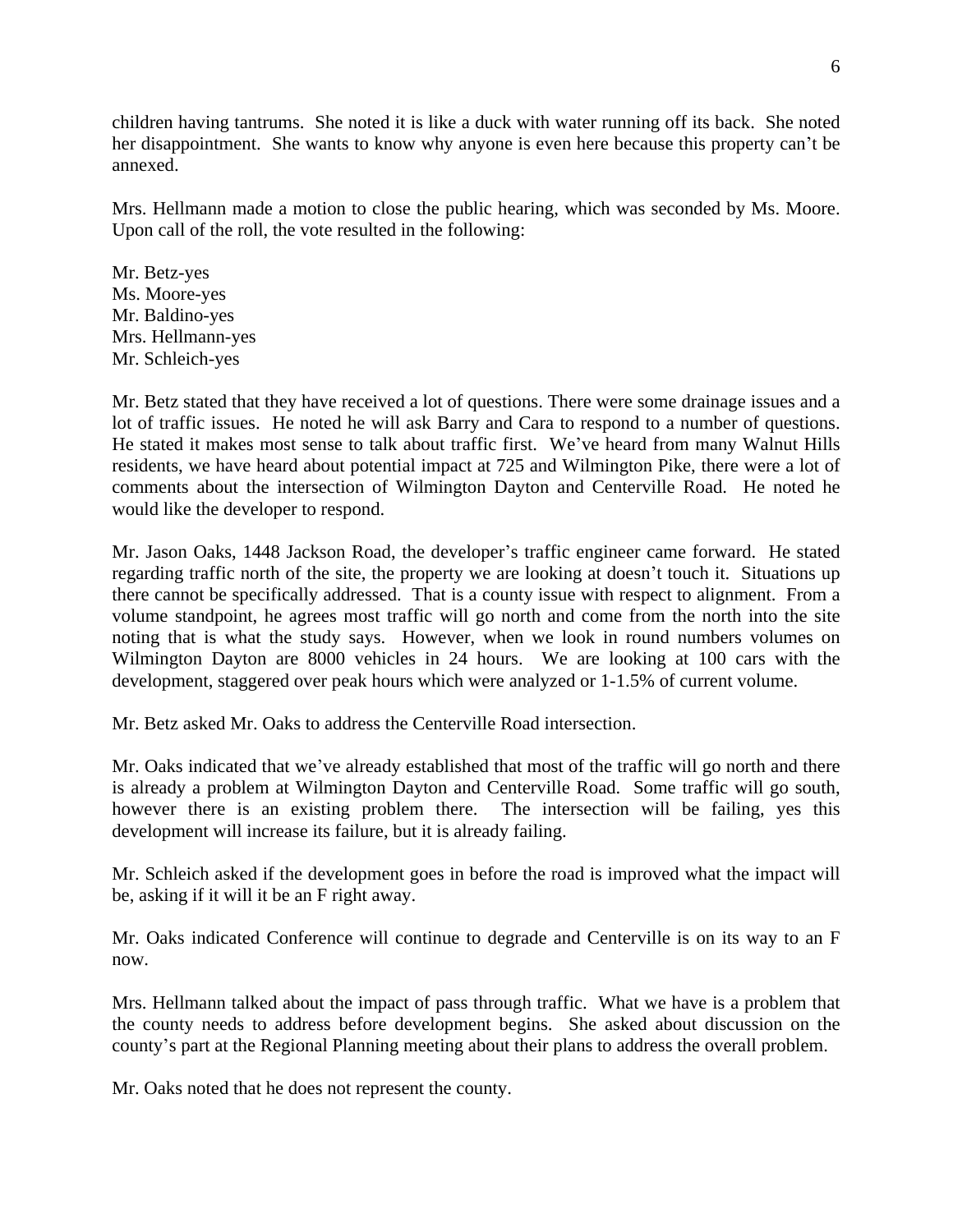children having tantrums. She noted it is like a duck with water running off its back. She noted her disappointment. She wants to know why anyone is even here because this property can't be annexed.

Mrs. Hellmann made a motion to close the public hearing, which was seconded by Ms. Moore. Upon call of the roll, the vote resulted in the following:

Mr. Betz-yes Ms. Moore-yes Mr. Baldino-yes Mrs. Hellmann-yes Mr. Schleich-yes

Mr. Betz stated that they have received a lot of questions. There were some drainage issues and a lot of traffic issues. He noted he will ask Barry and Cara to respond to a number of questions. He stated it makes most sense to talk about traffic first. We've heard from many Walnut Hills residents, we have heard about potential impact at 725 and Wilmington Pike, there were a lot of comments about the intersection of Wilmington Dayton and Centerville Road. He noted he would like the developer to respond.

Mr. Jason Oaks, 1448 Jackson Road, the developer's traffic engineer came forward. He stated regarding traffic north of the site, the property we are looking at doesn't touch it. Situations up there cannot be specifically addressed. That is a county issue with respect to alignment. From a volume standpoint, he agrees most traffic will go north and come from the north into the site noting that is what the study says. However, when we look in round numbers volumes on Wilmington Dayton are 8000 vehicles in 24 hours. We are looking at 100 cars with the development, staggered over peak hours which were analyzed or 1-1.5% of current volume.

Mr. Betz asked Mr. Oaks to address the Centerville Road intersection.

Mr. Oaks indicated that we've already established that most of the traffic will go north and there is already a problem at Wilmington Dayton and Centerville Road. Some traffic will go south, however there is an existing problem there. The intersection will be failing, yes this development will increase its failure, but it is already failing.

Mr. Schleich asked if the development goes in before the road is improved what the impact will be, asking if it will it be an F right away.

Mr. Oaks indicated Conference will continue to degrade and Centerville is on its way to an F now.

Mrs. Hellmann talked about the impact of pass through traffic. What we have is a problem that the county needs to address before development begins. She asked about discussion on the county's part at the Regional Planning meeting about their plans to address the overall problem.

Mr. Oaks noted that he does not represent the county.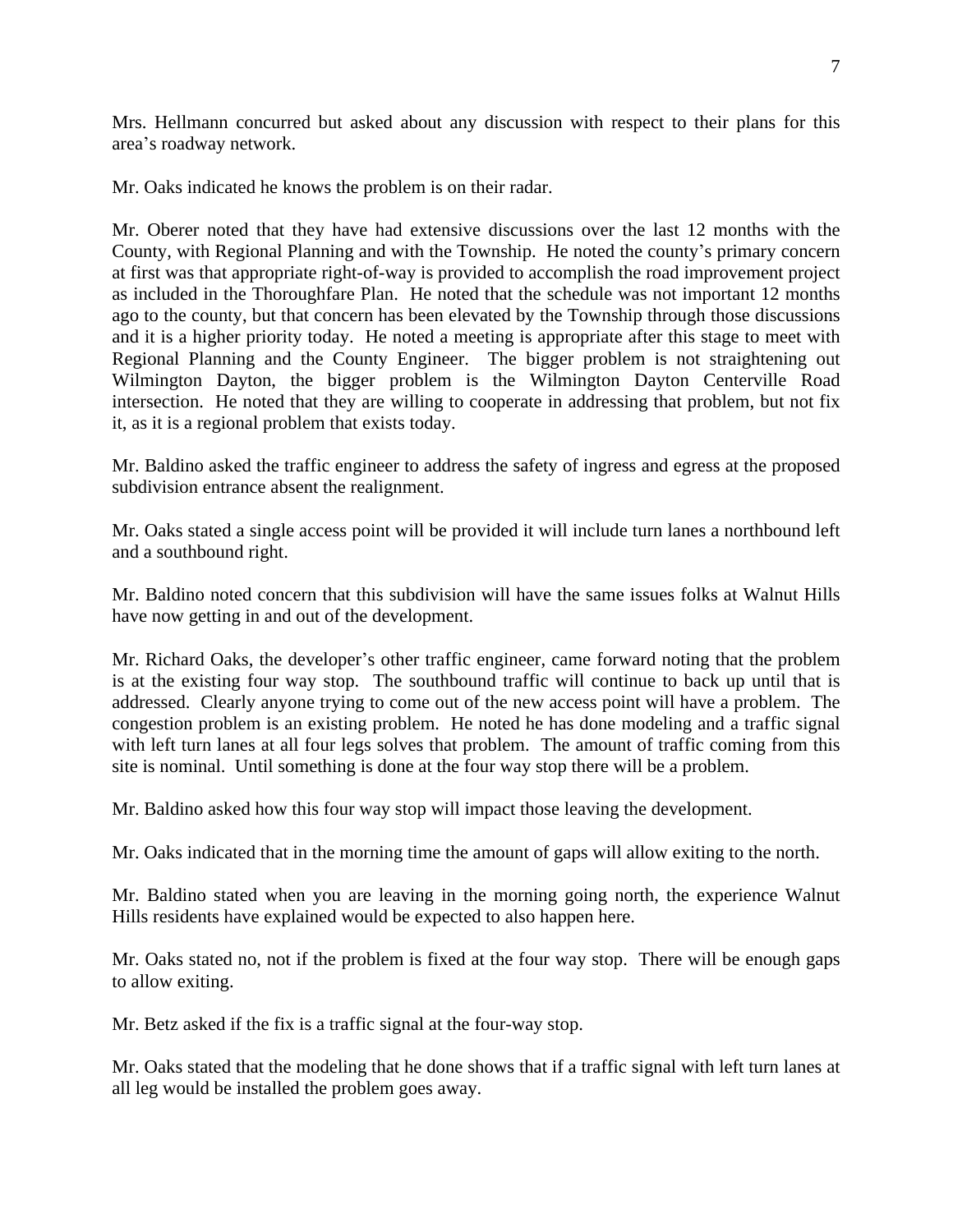Mrs. Hellmann concurred but asked about any discussion with respect to their plans for this area's roadway network.

Mr. Oaks indicated he knows the problem is on their radar.

Mr. Oberer noted that they have had extensive discussions over the last 12 months with the County, with Regional Planning and with the Township. He noted the county's primary concern at first was that appropriate right-of-way is provided to accomplish the road improvement project as included in the Thoroughfare Plan. He noted that the schedule was not important 12 months ago to the county, but that concern has been elevated by the Township through those discussions and it is a higher priority today. He noted a meeting is appropriate after this stage to meet with Regional Planning and the County Engineer. The bigger problem is not straightening out Wilmington Dayton, the bigger problem is the Wilmington Dayton Centerville Road intersection. He noted that they are willing to cooperate in addressing that problem, but not fix it, as it is a regional problem that exists today.

Mr. Baldino asked the traffic engineer to address the safety of ingress and egress at the proposed subdivision entrance absent the realignment.

Mr. Oaks stated a single access point will be provided it will include turn lanes a northbound left and a southbound right.

Mr. Baldino noted concern that this subdivision will have the same issues folks at Walnut Hills have now getting in and out of the development.

Mr. Richard Oaks, the developer's other traffic engineer, came forward noting that the problem is at the existing four way stop. The southbound traffic will continue to back up until that is addressed. Clearly anyone trying to come out of the new access point will have a problem. The congestion problem is an existing problem. He noted he has done modeling and a traffic signal with left turn lanes at all four legs solves that problem. The amount of traffic coming from this site is nominal. Until something is done at the four way stop there will be a problem.

Mr. Baldino asked how this four way stop will impact those leaving the development.

Mr. Oaks indicated that in the morning time the amount of gaps will allow exiting to the north.

Mr. Baldino stated when you are leaving in the morning going north, the experience Walnut Hills residents have explained would be expected to also happen here.

Mr. Oaks stated no, not if the problem is fixed at the four way stop. There will be enough gaps to allow exiting.

Mr. Betz asked if the fix is a traffic signal at the four-way stop.

Mr. Oaks stated that the modeling that he done shows that if a traffic signal with left turn lanes at all leg would be installed the problem goes away.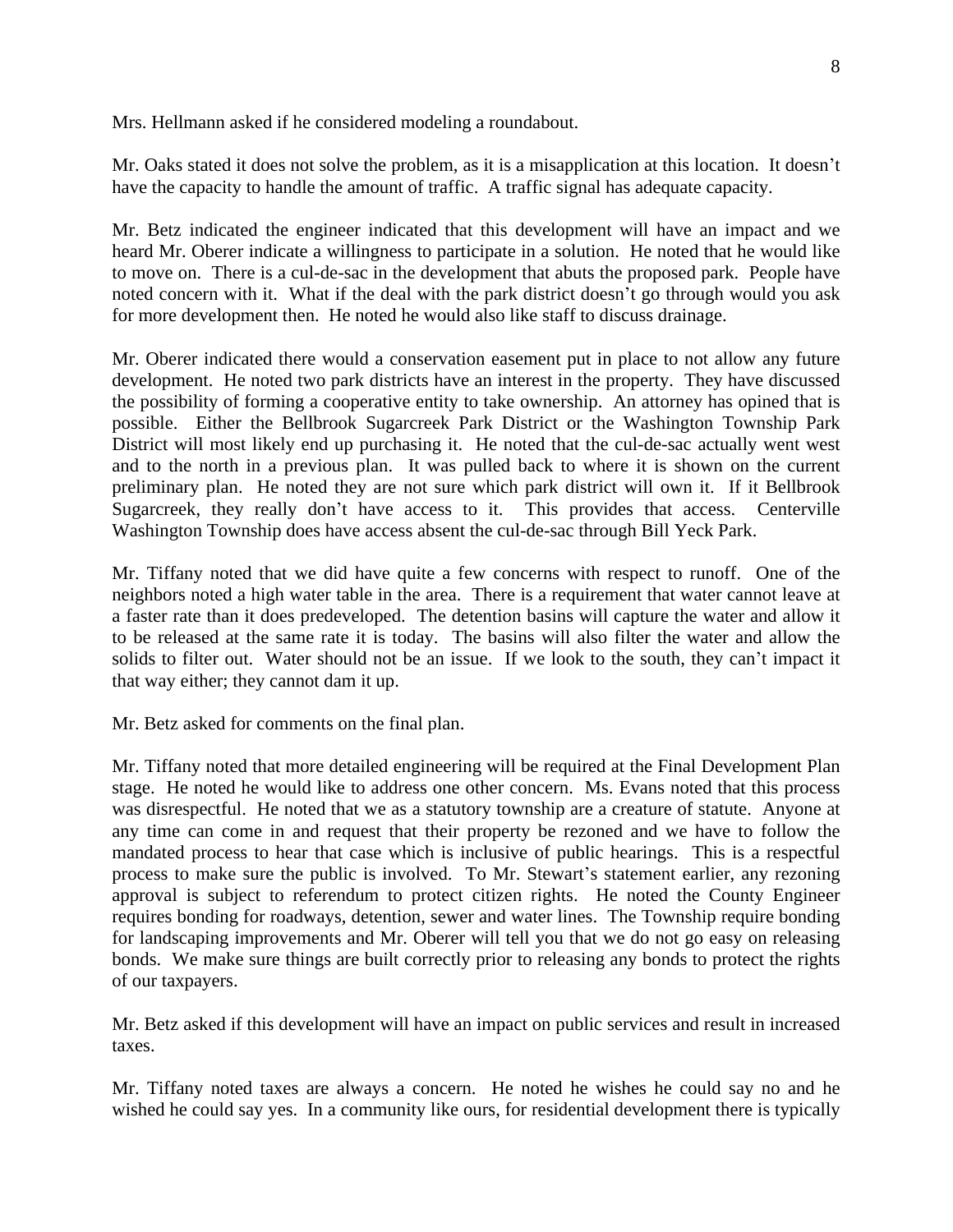Mrs. Hellmann asked if he considered modeling a roundabout.

Mr. Oaks stated it does not solve the problem, as it is a misapplication at this location. It doesn't have the capacity to handle the amount of traffic. A traffic signal has adequate capacity.

Mr. Betz indicated the engineer indicated that this development will have an impact and we heard Mr. Oberer indicate a willingness to participate in a solution. He noted that he would like to move on. There is a cul-de-sac in the development that abuts the proposed park. People have noted concern with it. What if the deal with the park district doesn't go through would you ask for more development then. He noted he would also like staff to discuss drainage.

Mr. Oberer indicated there would a conservation easement put in place to not allow any future development. He noted two park districts have an interest in the property. They have discussed the possibility of forming a cooperative entity to take ownership. An attorney has opined that is possible. Either the Bellbrook Sugarcreek Park District or the Washington Township Park District will most likely end up purchasing it. He noted that the cul-de-sac actually went west and to the north in a previous plan. It was pulled back to where it is shown on the current preliminary plan. He noted they are not sure which park district will own it. If it Bellbrook Sugarcreek, they really don't have access to it. This provides that access. Centerville Washington Township does have access absent the cul-de-sac through Bill Yeck Park.

Mr. Tiffany noted that we did have quite a few concerns with respect to runoff. One of the neighbors noted a high water table in the area. There is a requirement that water cannot leave at a faster rate than it does predeveloped. The detention basins will capture the water and allow it to be released at the same rate it is today. The basins will also filter the water and allow the solids to filter out. Water should not be an issue. If we look to the south, they can't impact it that way either; they cannot dam it up.

Mr. Betz asked for comments on the final plan.

Mr. Tiffany noted that more detailed engineering will be required at the Final Development Plan stage. He noted he would like to address one other concern. Ms. Evans noted that this process was disrespectful. He noted that we as a statutory township are a creature of statute. Anyone at any time can come in and request that their property be rezoned and we have to follow the mandated process to hear that case which is inclusive of public hearings. This is a respectful process to make sure the public is involved. To Mr. Stewart's statement earlier, any rezoning approval is subject to referendum to protect citizen rights. He noted the County Engineer requires bonding for roadways, detention, sewer and water lines. The Township require bonding for landscaping improvements and Mr. Oberer will tell you that we do not go easy on releasing bonds. We make sure things are built correctly prior to releasing any bonds to protect the rights of our taxpayers.

Mr. Betz asked if this development will have an impact on public services and result in increased taxes.

Mr. Tiffany noted taxes are always a concern. He noted he wishes he could say no and he wished he could say yes. In a community like ours, for residential development there is typically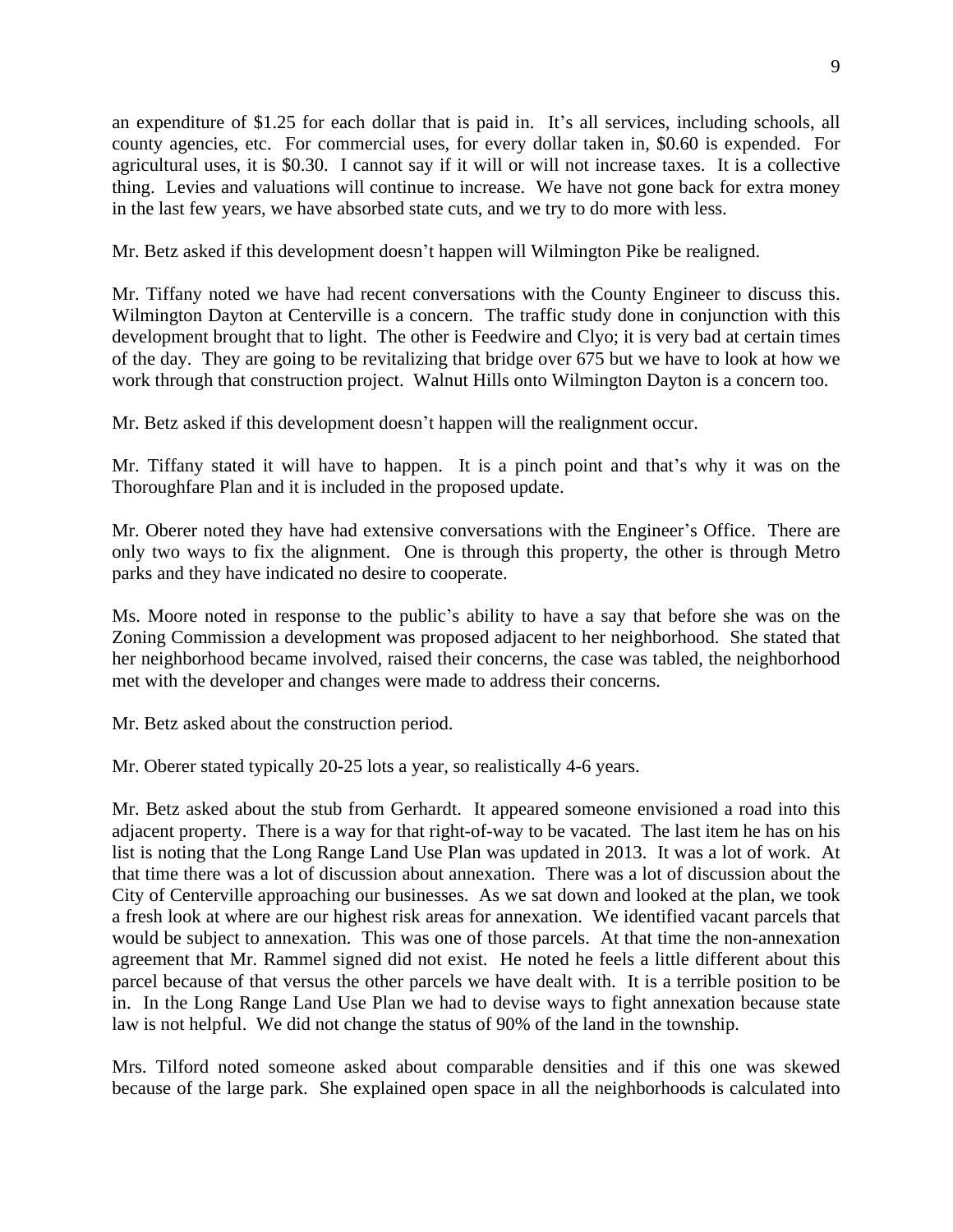an expenditure of \$1.25 for each dollar that is paid in. It's all services, including schools, all county agencies, etc. For commercial uses, for every dollar taken in, \$0.60 is expended. For agricultural uses, it is \$0.30. I cannot say if it will or will not increase taxes. It is a collective thing. Levies and valuations will continue to increase. We have not gone back for extra money in the last few years, we have absorbed state cuts, and we try to do more with less.

Mr. Betz asked if this development doesn't happen will Wilmington Pike be realigned.

Mr. Tiffany noted we have had recent conversations with the County Engineer to discuss this. Wilmington Dayton at Centerville is a concern. The traffic study done in conjunction with this development brought that to light. The other is Feedwire and Clyo; it is very bad at certain times of the day. They are going to be revitalizing that bridge over 675 but we have to look at how we work through that construction project. Walnut Hills onto Wilmington Dayton is a concern too.

Mr. Betz asked if this development doesn't happen will the realignment occur.

Mr. Tiffany stated it will have to happen. It is a pinch point and that's why it was on the Thoroughfare Plan and it is included in the proposed update.

Mr. Oberer noted they have had extensive conversations with the Engineer's Office. There are only two ways to fix the alignment. One is through this property, the other is through Metro parks and they have indicated no desire to cooperate.

Ms. Moore noted in response to the public's ability to have a say that before she was on the Zoning Commission a development was proposed adjacent to her neighborhood. She stated that her neighborhood became involved, raised their concerns, the case was tabled, the neighborhood met with the developer and changes were made to address their concerns.

Mr. Betz asked about the construction period.

Mr. Oberer stated typically 20-25 lots a year, so realistically 4-6 years.

Mr. Betz asked about the stub from Gerhardt. It appeared someone envisioned a road into this adjacent property. There is a way for that right-of-way to be vacated. The last item he has on his list is noting that the Long Range Land Use Plan was updated in 2013. It was a lot of work. At that time there was a lot of discussion about annexation. There was a lot of discussion about the City of Centerville approaching our businesses. As we sat down and looked at the plan, we took a fresh look at where are our highest risk areas for annexation. We identified vacant parcels that would be subject to annexation. This was one of those parcels. At that time the non-annexation agreement that Mr. Rammel signed did not exist. He noted he feels a little different about this parcel because of that versus the other parcels we have dealt with. It is a terrible position to be in. In the Long Range Land Use Plan we had to devise ways to fight annexation because state law is not helpful. We did not change the status of 90% of the land in the township.

Mrs. Tilford noted someone asked about comparable densities and if this one was skewed because of the large park. She explained open space in all the neighborhoods is calculated into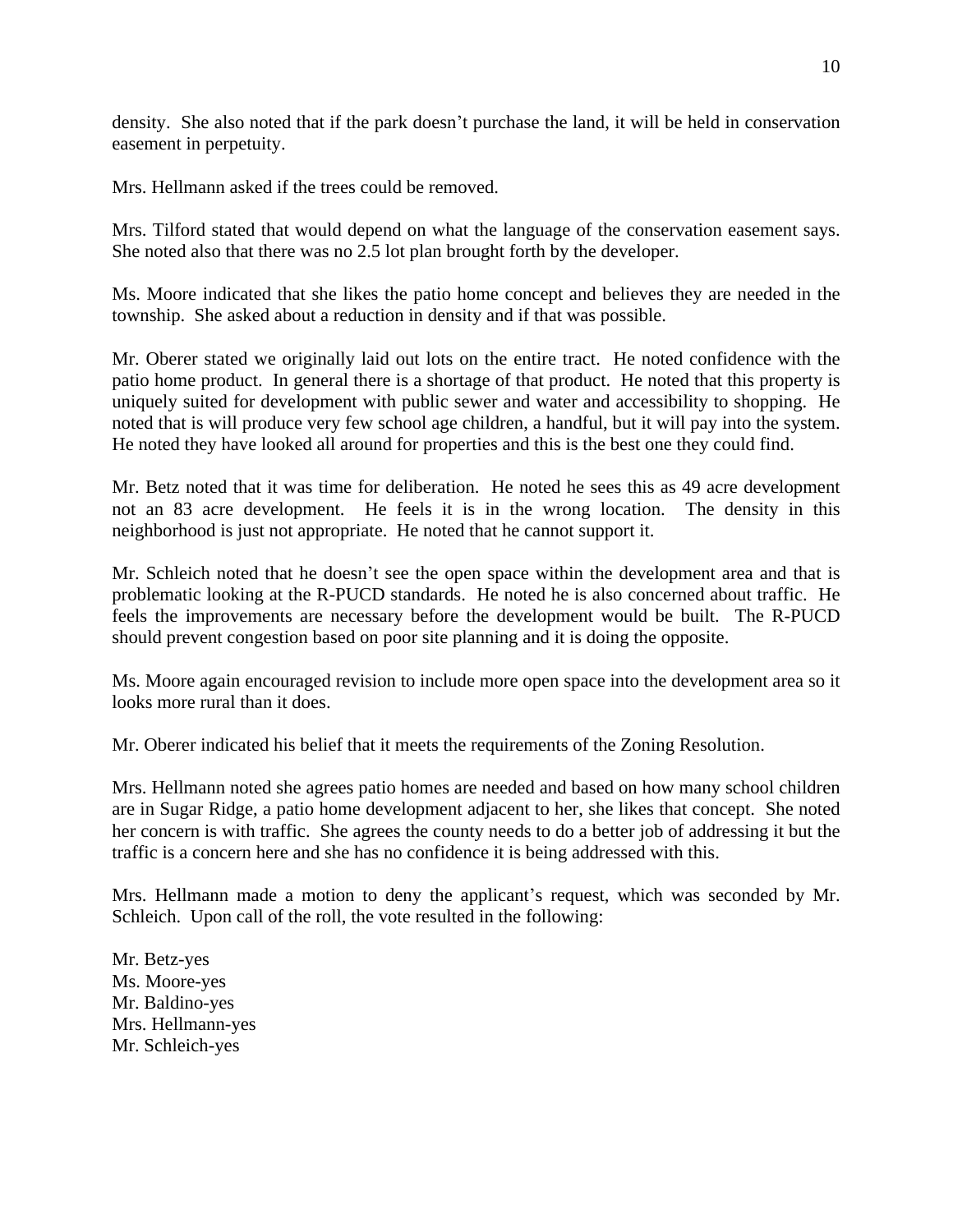density. She also noted that if the park doesn't purchase the land, it will be held in conservation easement in perpetuity.

Mrs. Hellmann asked if the trees could be removed.

Mrs. Tilford stated that would depend on what the language of the conservation easement says. She noted also that there was no 2.5 lot plan brought forth by the developer.

Ms. Moore indicated that she likes the patio home concept and believes they are needed in the township. She asked about a reduction in density and if that was possible.

Mr. Oberer stated we originally laid out lots on the entire tract. He noted confidence with the patio home product. In general there is a shortage of that product. He noted that this property is uniquely suited for development with public sewer and water and accessibility to shopping. He noted that is will produce very few school age children, a handful, but it will pay into the system. He noted they have looked all around for properties and this is the best one they could find.

Mr. Betz noted that it was time for deliberation. He noted he sees this as 49 acre development not an 83 acre development. He feels it is in the wrong location. The density in this neighborhood is just not appropriate. He noted that he cannot support it.

Mr. Schleich noted that he doesn't see the open space within the development area and that is problematic looking at the R-PUCD standards. He noted he is also concerned about traffic. He feels the improvements are necessary before the development would be built. The R-PUCD should prevent congestion based on poor site planning and it is doing the opposite.

Ms. Moore again encouraged revision to include more open space into the development area so it looks more rural than it does.

Mr. Oberer indicated his belief that it meets the requirements of the Zoning Resolution.

Mrs. Hellmann noted she agrees patio homes are needed and based on how many school children are in Sugar Ridge, a patio home development adjacent to her, she likes that concept. She noted her concern is with traffic. She agrees the county needs to do a better job of addressing it but the traffic is a concern here and she has no confidence it is being addressed with this.

Mrs. Hellmann made a motion to deny the applicant's request, which was seconded by Mr. Schleich. Upon call of the roll, the vote resulted in the following:

Mr. Betz-yes Ms. Moore-yes Mr. Baldino-yes Mrs. Hellmann-yes Mr. Schleich-yes